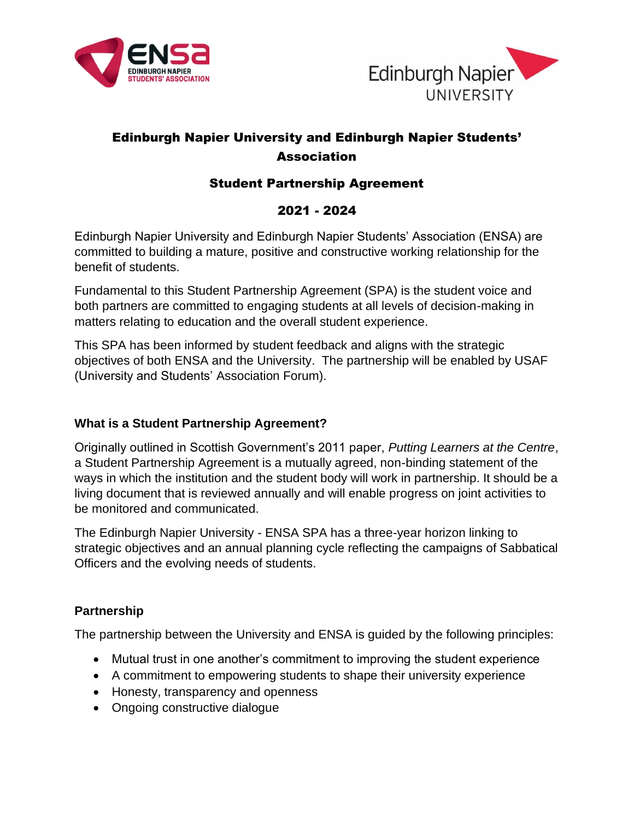



# Edinburgh Napier University and Edinburgh Napier Students' **Association**

## Student Partnership Agreement

## 2021 - 2024

Edinburgh Napier University and Edinburgh Napier Students' Association (ENSA) are committed to building a mature, positive and constructive working relationship for the benefit of students.

Fundamental to this Student Partnership Agreement (SPA) is the student voice and both partners are committed to engaging students at all levels of decision-making in matters relating to education and the overall student experience.

This SPA has been informed by student feedback and aligns with the strategic objectives of both ENSA and the University. The partnership will be enabled by USAF (University and Students' Association Forum).

## **What is a Student Partnership Agreement?**

Originally outlined in Scottish Government's 2011 paper, *Putting Learners at the Centre*, a Student Partnership Agreement is a mutually agreed, non-binding statement of the ways in which the institution and the student body will work in partnership. It should be a living document that is reviewed annually and will enable progress on joint activities to be monitored and communicated.

The Edinburgh Napier University - ENSA SPA has a three-year horizon linking to strategic objectives and an annual planning cycle reflecting the campaigns of Sabbatical Officers and the evolving needs of students.

## **Partnership**

The partnership between the University and ENSA is guided by the following principles:

- Mutual trust in one another's commitment to improving the student experience
- A commitment to empowering students to shape their university experience
- Honesty, transparency and openness
- Ongoing constructive dialogue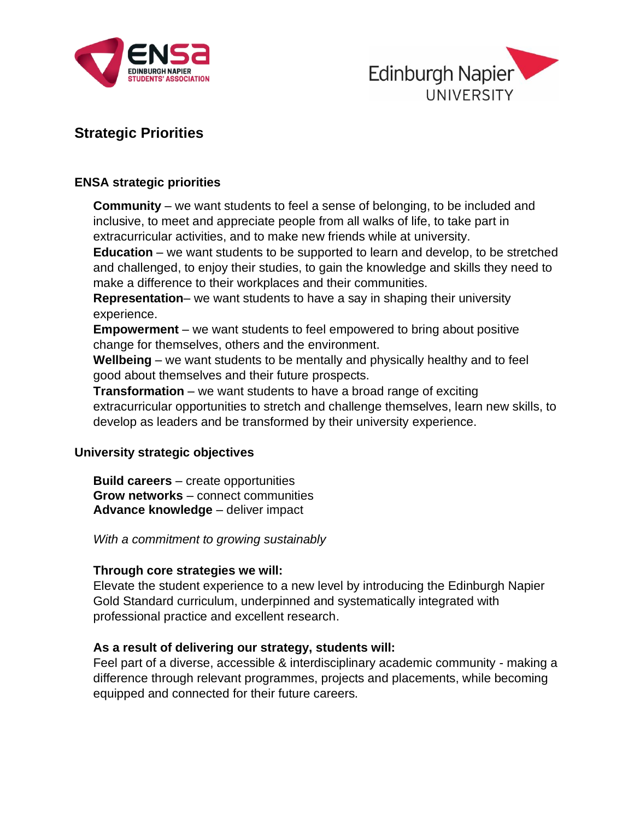



# **Strategic Priorities**

#### **ENSA strategic priorities**

**Community** – we want students to feel a sense of belonging, to be included and inclusive, to meet and appreciate people from all walks of life, to take part in extracurricular activities, and to make new friends while at university.

**Education** – we want students to be supported to learn and develop, to be stretched and challenged, to enjoy their studies, to gain the knowledge and skills they need to make a difference to their workplaces and their communities.

**Representation**– we want students to have a say in shaping their university experience.

**Empowerment** – we want students to feel empowered to bring about positive change for themselves, others and the environment.

**Wellbeing** – we want students to be mentally and physically healthy and to feel good about themselves and their future prospects.

**Transformation** – we want students to have a broad range of exciting extracurricular opportunities to stretch and challenge themselves, learn new skills, to develop as leaders and be transformed by their university experience.

#### **University strategic objectives**

**Build careers** – create opportunities **Grow networks** – connect communities **Advance knowledge** – deliver impact

*With a commitment to growing sustainably*

## **Through core strategies we will:**

Elevate the student experience to a new level by introducing the Edinburgh Napier Gold Standard curriculum, underpinned and systematically integrated with professional practice and excellent research.

#### **As a result of delivering our strategy, students will:**

Feel part of a diverse, accessible & interdisciplinary academic community - making a difference through relevant programmes, projects and placements, while becoming equipped and connected for their future careers.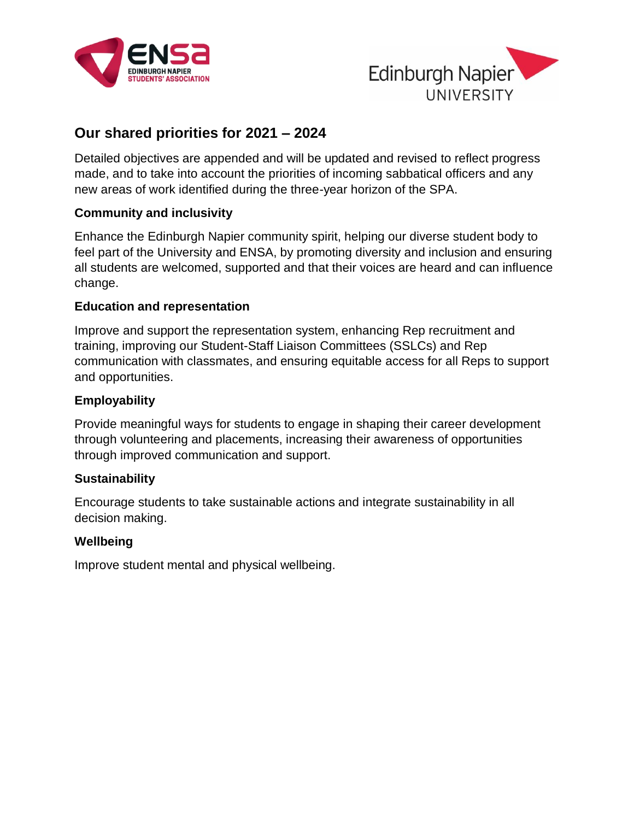



## **Our shared priorities for 2021 – 2024**

Detailed objectives are appended and will be updated and revised to reflect progress made, and to take into account the priorities of incoming sabbatical officers and any new areas of work identified during the three-year horizon of the SPA.

## **Community and inclusivity**

Enhance the Edinburgh Napier community spirit, helping our diverse student body to feel part of the University and ENSA, by promoting diversity and inclusion and ensuring all students are welcomed, supported and that their voices are heard and can influence change.

#### **Education and representation**

Improve and support the representation system, enhancing Rep recruitment and training, improving our Student-Staff Liaison Committees (SSLCs) and Rep communication with classmates, and ensuring equitable access for all Reps to support and opportunities.

#### **Employability**

Provide meaningful ways for students to engage in shaping their career development through volunteering and placements, increasing their awareness of opportunities through improved communication and support.

#### **Sustainability**

Encourage students to take sustainable actions and integrate sustainability in all decision making.

#### **Wellbeing**

Improve student mental and physical wellbeing.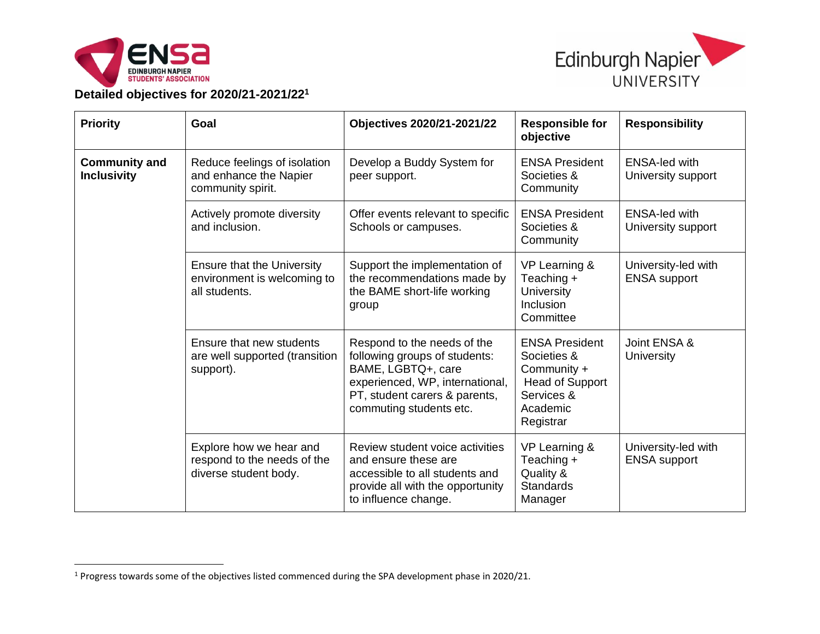



**Detailed objectives for 2020/21-2021/22<sup>1</sup>**

| <b>Priority</b>                            | Goal                                                                              | Objectives 2020/21-2021/22                                                                                                                                                        | <b>Responsible for</b><br>objective                                                                                  | <b>Responsibility</b>                      |
|--------------------------------------------|-----------------------------------------------------------------------------------|-----------------------------------------------------------------------------------------------------------------------------------------------------------------------------------|----------------------------------------------------------------------------------------------------------------------|--------------------------------------------|
| <b>Community and</b><br><b>Inclusivity</b> | Reduce feelings of isolation<br>and enhance the Napier<br>community spirit.       | Develop a Buddy System for<br>peer support.                                                                                                                                       | <b>ENSA President</b><br>Societies &<br>Community                                                                    | <b>ENSA-led with</b><br>University support |
|                                            | Actively promote diversity<br>and inclusion.                                      | Offer events relevant to specific<br>Schools or campuses.                                                                                                                         | <b>ENSA President</b><br>Societies &<br>Community                                                                    | <b>ENSA-led with</b><br>University support |
|                                            | <b>Ensure that the University</b><br>environment is welcoming to<br>all students. | Support the implementation of<br>the recommendations made by<br>the BAME short-life working<br>group                                                                              | VP Learning &<br>Teaching +<br><b>University</b><br>Inclusion<br>Committee                                           | University-led with<br><b>ENSA support</b> |
|                                            | Ensure that new students<br>are well supported (transition<br>support).           | Respond to the needs of the<br>following groups of students:<br>BAME, LGBTQ+, care<br>experienced, WP, international,<br>PT, student carers & parents,<br>commuting students etc. | <b>ENSA President</b><br>Societies &<br>Community +<br><b>Head of Support</b><br>Services &<br>Academic<br>Registrar | Joint ENSA &<br>University                 |
|                                            | Explore how we hear and<br>respond to the needs of the<br>diverse student body.   | Review student voice activities<br>and ensure these are<br>accessible to all students and<br>provide all with the opportunity<br>to influence change.                             | VP Learning &<br>Teaching +<br>Quality &<br><b>Standards</b><br>Manager                                              | University-led with<br><b>ENSA</b> support |

<sup>1</sup> Progress towards some of the objectives listed commenced during the SPA development phase in 2020/21.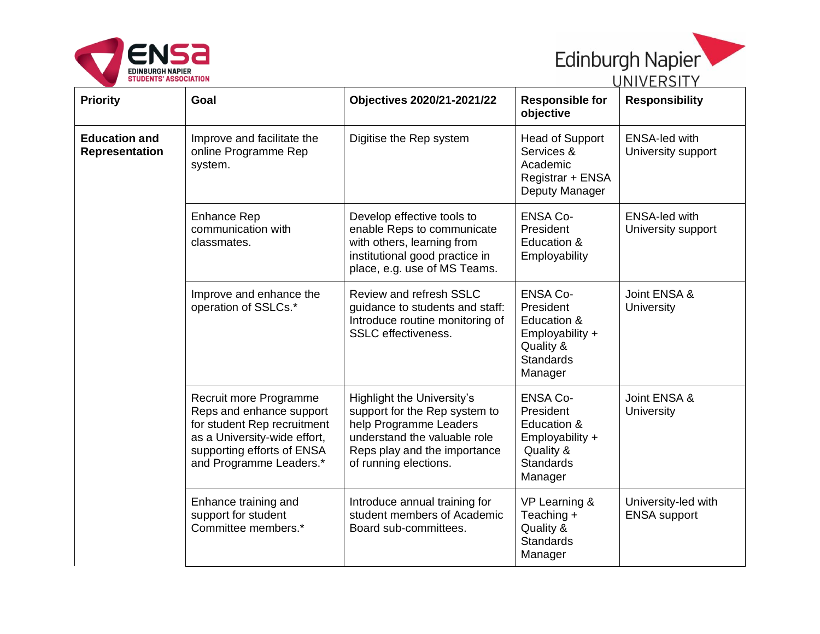



| <b>Priority</b>                               | Goal                                                                                                                                                                       | <b>Objectives 2020/21-2021/22</b>                                                                                                                                              | <b>Responsible for</b><br>objective                                                                        | U I V I V LI \ J I I<br><b>Responsibility</b> |
|-----------------------------------------------|----------------------------------------------------------------------------------------------------------------------------------------------------------------------------|--------------------------------------------------------------------------------------------------------------------------------------------------------------------------------|------------------------------------------------------------------------------------------------------------|-----------------------------------------------|
| <b>Education and</b><br><b>Representation</b> | Improve and facilitate the<br>online Programme Rep<br>system.                                                                                                              | Digitise the Rep system                                                                                                                                                        | <b>Head of Support</b><br>Services &<br>Academic<br>Registrar + ENSA<br>Deputy Manager                     | <b>ENSA-led with</b><br>University support    |
|                                               | <b>Enhance Rep</b><br>communication with<br>classmates.                                                                                                                    | Develop effective tools to<br>enable Reps to communicate<br>with others, learning from<br>institutional good practice in<br>place, e.g. use of MS Teams.                       | <b>ENSA Co-</b><br>President<br>Education &<br>Employability                                               | <b>ENSA-led with</b><br>University support    |
|                                               | Improve and enhance the<br>operation of SSLCs.*                                                                                                                            | Review and refresh SSLC<br>guidance to students and staff:<br>Introduce routine monitoring of<br><b>SSLC</b> effectiveness.                                                    | <b>ENSA Co-</b><br>President<br>Education &<br>Employability +<br>Quality &<br><b>Standards</b><br>Manager | Joint ENSA &<br>University                    |
|                                               | Recruit more Programme<br>Reps and enhance support<br>for student Rep recruitment<br>as a University-wide effort,<br>supporting efforts of ENSA<br>and Programme Leaders.* | Highlight the University's<br>support for the Rep system to<br>help Programme Leaders<br>understand the valuable role<br>Reps play and the importance<br>of running elections. | <b>ENSA Co-</b><br>President<br>Education &<br>Employability +<br>Quality &<br><b>Standards</b><br>Manager | Joint ENSA &<br>University                    |
|                                               | Enhance training and<br>support for student<br>Committee members.*                                                                                                         | Introduce annual training for<br>student members of Academic<br>Board sub-committees.                                                                                          | VP Learning &<br>Teaching +<br>Quality &<br><b>Standards</b><br>Manager                                    | University-led with<br><b>ENSA</b> support    |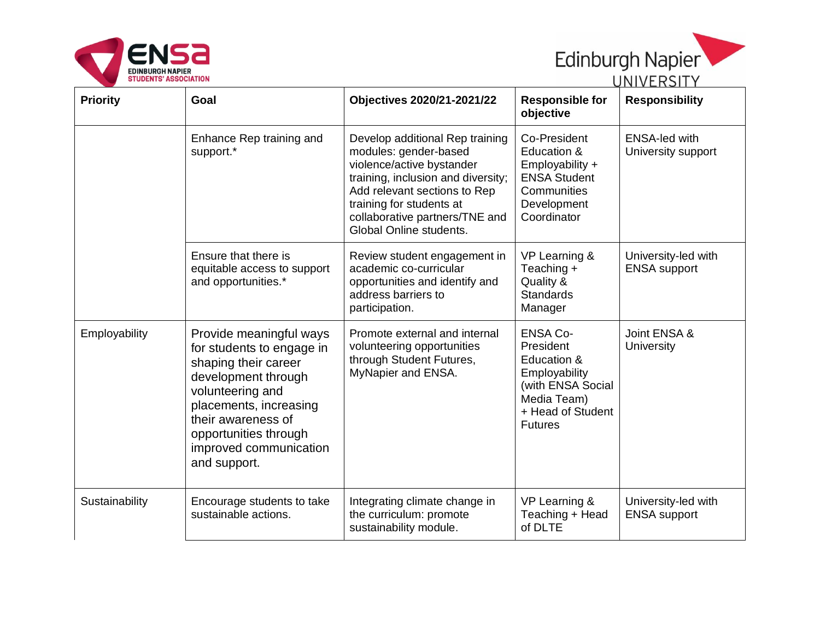



|                 |                                                                                                                                                                                                                                            |                                                                                                                                                                                                                                                      | – – – – – – – – – – – – – – –                                                                                                           |                                            |  |
|-----------------|--------------------------------------------------------------------------------------------------------------------------------------------------------------------------------------------------------------------------------------------|------------------------------------------------------------------------------------------------------------------------------------------------------------------------------------------------------------------------------------------------------|-----------------------------------------------------------------------------------------------------------------------------------------|--------------------------------------------|--|
| <b>Priority</b> | Goal                                                                                                                                                                                                                                       | <b>Objectives 2020/21-2021/22</b>                                                                                                                                                                                                                    | <b>Responsible for</b><br>objective                                                                                                     | <b>Responsibility</b>                      |  |
|                 | Enhance Rep training and<br>support.*                                                                                                                                                                                                      | Develop additional Rep training<br>modules: gender-based<br>violence/active bystander<br>training, inclusion and diversity;<br>Add relevant sections to Rep<br>training for students at<br>collaborative partners/TNE and<br>Global Online students. | Co-President<br>Education &<br>Employability +<br><b>ENSA Student</b><br>Communities<br>Development<br>Coordinator                      | <b>ENSA-led with</b><br>University support |  |
|                 | Ensure that there is<br>equitable access to support<br>and opportunities.*                                                                                                                                                                 | Review student engagement in<br>academic co-curricular<br>opportunities and identify and<br>address barriers to<br>participation.                                                                                                                    | VP Learning &<br>Teaching +<br>Quality &<br><b>Standards</b><br>Manager                                                                 | University-led with<br><b>ENSA</b> support |  |
| Employability   | Provide meaningful ways<br>for students to engage in<br>shaping their career<br>development through<br>volunteering and<br>placements, increasing<br>their awareness of<br>opportunities through<br>improved communication<br>and support. | Promote external and internal<br>volunteering opportunities<br>through Student Futures,<br>MyNapier and ENSA.                                                                                                                                        | <b>ENSA Co-</b><br>President<br>Education &<br>Employability<br>(with ENSA Social<br>Media Team)<br>+ Head of Student<br><b>Futures</b> | Joint ENSA &<br>University                 |  |
| Sustainability  | Encourage students to take<br>sustainable actions.                                                                                                                                                                                         | Integrating climate change in<br>the curriculum: promote<br>sustainability module.                                                                                                                                                                   | VP Learning &<br>Teaching + Head<br>of DLTE                                                                                             | University-led with<br><b>ENSA</b> support |  |